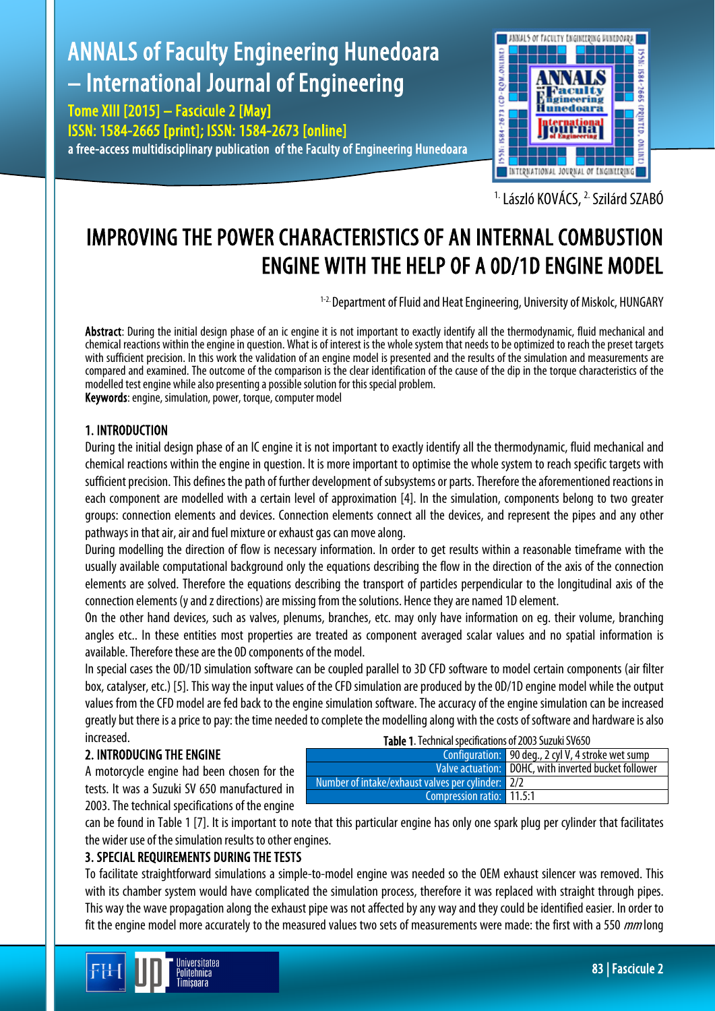# ANNALS of Faculty Engineering Hunedoara – International Journal of Engineering

Tome XIII [2015] – Fascicule 2 [May] ISSN: 1584-2665 [print]; ISSN: 1584-2673 [online] a free-access multidisciplinary publication of the Faculty of Engineering Hunedoara



<sup>1.</sup> László KOVÁCS, <sup>2.</sup> Szilárd SZABÓ

# IMPROVING THE POWER CHARACTERISTICS OF AN INTERNAL COMBUSTION ENGINE WITH THE HELP OF A 0D/1D ENGINE MODEL

<sup>1-2.</sup> Department of Fluid and Heat Engineering, University of Miskolc, HUNGARY

Abstract: During the initial design phase of an ic engine it is not important to exactly identify all the thermodynamic, fluid mechanical and chemical reactions within the engine in question. What is of interest is the whole system that needs to be optimized to reach the preset targets with sufficient precision. In this work the validation of an engine model is presented and the results of the simulation and measurements are compared and examined. The outcome of the comparison is the clear identification of the cause of the dip in the torque characteristics of the modelled test engine while also presenting a possible solution for this special problem. Keywords: engine, simulation, power, torque, computer model

# 1. INTRODUCTION

During the initial design phase of an IC engine it is not important to exactly identify all the thermodynamic, fluid mechanical and chemical reactions within the engine in question. It is more important to optimise the whole system to reach specific targets with sufficient precision. This defines the path of further development of subsystems or parts. Therefore the aforementioned reactions in each component are modelled with a certain level of approximation [4]. In the simulation, components belong to two greater groups: connection elements and devices. Connection elements connect all the devices, and represent the pipes and any other pathways in that air, air and fuel mixture or exhaust gas can move along.

During modelling the direction of flow is necessary information. In order to get results within a reasonable timeframe with the usually available computational background only the equations describing the flow in the direction of the axis of the connection elements are solved. Therefore the equations describing the transport of particles perpendicular to the longitudinal axis of the connection elements (y and z directions) are missing from the solutions. Hence they are named 1D element.

On the other hand devices, such as valves, plenums, branches, etc. may only have information on eg. their volume, branching angles etc.. In these entities most properties are treated as component averaged scalar values and no spatial information is available. Therefore these are the 0D components of the model.

In special cases the 0D/1D simulation software can be coupled parallel to 3D CFD software to model certain components (air filter box, catalyser, etc.) [5]. This way the input values of the CFD simulation are produced by the 0D/1D engine model while the output values from the CFD model are fed back to the engine simulation software. The accuracy of the engine simulation can be increased greatly but there is a price to pay: the time needed to complete the modelling along with the costs of software and hardware is also increased.

### 2. INTRODUCING THE ENGINE

A motorcycle engine had been chosen for the tests. It was a Suzuki SV 650 manufactured in 2003. The technical specifications of the engine

| Table 1. Technical specifications of 2003 Suzuki SV650 |                                                      |  |  |
|--------------------------------------------------------|------------------------------------------------------|--|--|
|                                                        | Configuration:   90 deg., 2 cyl V, 4 stroke wet sump |  |  |
|                                                        | Valve actuation: DOHC, with inverted bucket follower |  |  |
| Number of intake/exhaust valves per cylinder: 2/2      |                                                      |  |  |
| Compression ratio: 11.5:1                              |                                                      |  |  |

can be found in Table 1 [7]. It is important to note that this particular engine has only one spark plug per cylinder that facilitates the wider use of the simulation results to other engines.

### 3. SPECIAL REQUIREMENTS DURING THE TESTS

To facilitate straightforward simulations a simple-to-model engine was needed so the OEM exhaust silencer was removed. This with its chamber system would have complicated the simulation process, therefore it was replaced with straight through pipes. This way the wave propagation along the exhaust pipe was not affected by any way and they could be identified easier. In order to fit the engine model more accurately to the measured values two sets of measurements were made: the first with a 550 mm long

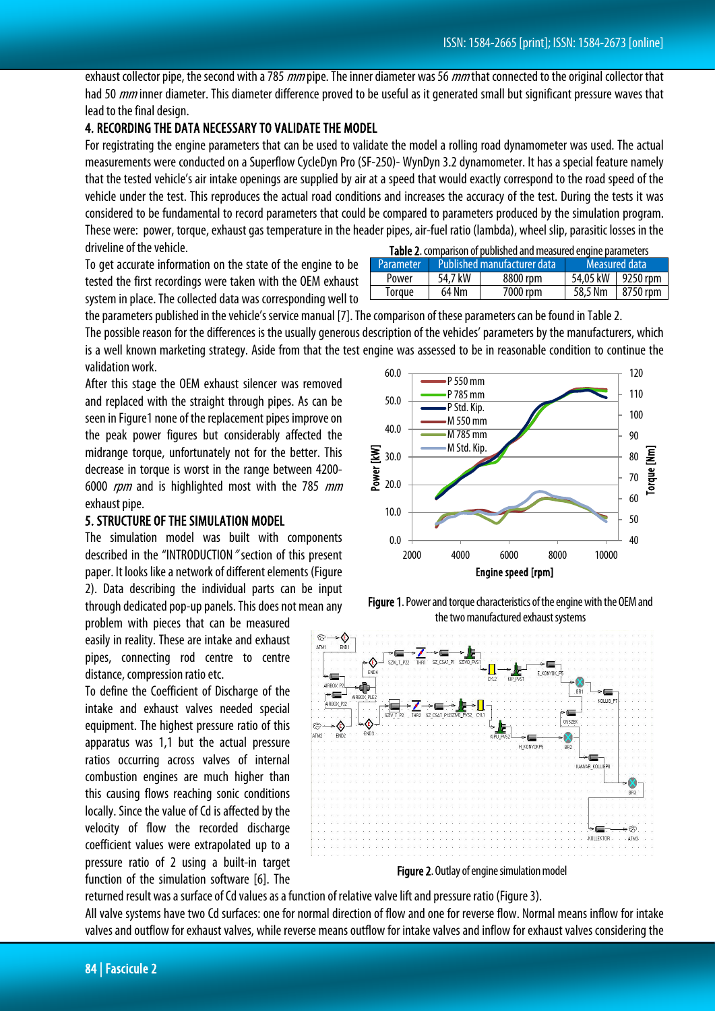exhaust collector pipe, the second with a 785 *mm* pipe. The inner diameter was 56 *mm* that connected to the original collector that had 50 *mm* inner diameter. This diameter difference proved to be useful as it generated small but significant pressure waves that lead to the final design.

## 4. RECORDING THE DATA NECESSARY TO VALIDATE THE MODEL

For registrating the engine parameters that can be used to validate the model a rolling road dynamometer was used. The actual measurements were conducted on a Superflow CycleDyn Pro (SF-250)- WynDyn 3.2 dynamometer. It has a special feature namely that the tested vehicle's air intake openings are supplied by air at a speed that would exactly correspond to the road speed of the vehicle under the test. This reproduces the actual road conditions and increases the accuracy of the test. During the tests it was considered to be fundamental to record parameters that could be compared to parameters produced by the simulation program. These were: power, torque, exhaust gas temperature in the header pipes, air-fuel ratio (lambda), wheel slip, parasitic losses in the driveline of the vehicle.

To get accurate information on the state of the engine to be tested the first recordings were taken with the OEM exhaust system in place. The collected data was corresponding well to

| <b>Table 2.</b> comparison of published and measured engine parameters |                             |          |               |                   |
|------------------------------------------------------------------------|-----------------------------|----------|---------------|-------------------|
| <b>Parameter</b>                                                       | Published manufacturer data |          | Measured data |                   |
| Power                                                                  | 54.7 kW                     | 8800 rpm |               | 54,05 kW 9250 rpm |
| Torque                                                                 | 64 Nm                       | 7000 rpm | 58.5 Nm       | 8750 rpm          |

the parameters published in the vehicle's service manual [7]. The comparison of these parameters can be found in Table 2.

The possible reason for the differences is the usually generous description of the vehicles' parameters by the manufacturers, which is a well known marketing strategy. Aside from that the test engine was assessed to be in reasonable condition to continue the validation work.

After this stage the OEM exhaust silencer was removed and replaced with the straight through pipes. As can be seen in Figure1 none of the replacement pipes improve on the peak power figures but considerably affected the midrange torque, unfortunately not for the better. This decrease in torque is worst in the range between 4200- 6000 rpm and is highlighted most with the 785 mm exhaust pipe.

### 5. STRUCTURE OF THE SIMULATION MODEL

The simulation model was built with components described in the "INTRODUCTION" section of this present paper. It looks like a network of different elements (Figure 2). Data describing the individual parts can be input through dedicated pop-up panels. This does not mean any

problem with pieces that can be measured easily in reality. These are intake and exhaust pipes, connecting rod centre to centre distance, compression ratio etc.

To define the Coefficient of Discharge of the intake and exhaust valves needed special equipment. The highest pressure ratio of this apparatus was 1,1 but the actual pressure ratios occurring across valves of internal combustion engines are much higher than this causing flows reaching sonic conditions locally. Since the value of Cd is affected by the velocity of flow the recorded discharge coefficient values were extrapolated up to a pressure ratio of 2 using a built-in target function of the simulation software [6]. The



Figure 1. Power and torque characteristics of the engine with the OEM and the two manufactured exhaust systems



Figure 2. Outlay of engine simulation model

returned result was a surface of Cd values as a function of relative valve lift and pressure ratio (Figure 3). All valve systems have two Cd surfaces: one for normal direction of flow and one for reverse flow. Normal means inflow for intake valves and outflow for exhaust valves, while reverse means outflow for intake valves and inflow for exhaust valves considering the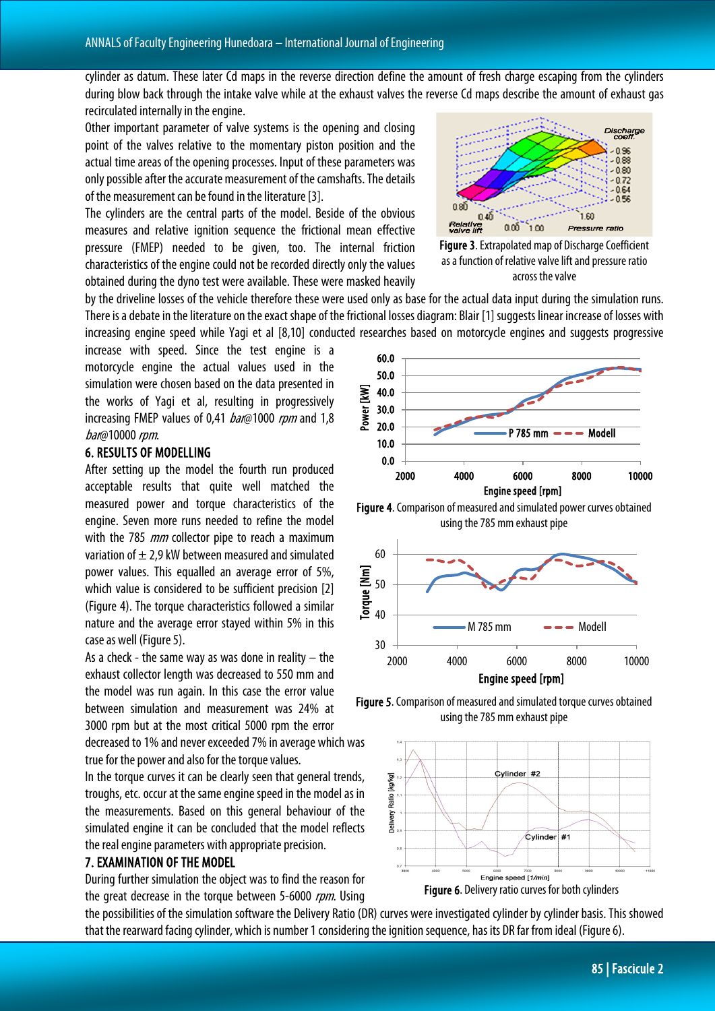cylinder as datum. These later Cd maps in the reverse direction define the amount of fresh charge escaping from the cylinders during blow back through the intake valve while at the exhaust valves the reverse Cd maps describe the amount of exhaust gas recirculated internally in the engine.

Other important parameter of valve systems is the opening and closing point of the valves relative to the momentary piston position and the actual time areas of the opening processes. Input of these parameters was only possible after the accurate measurement of the camshafts. The details of the measurement can be found in the literature [3].

The cylinders are the central parts of the model. Beside of the obvious measures and relative ignition sequence the frictional mean effective pressure (FMEP) needed to be given, too. The internal friction characteristics of the engine could not be recorded directly only the values obtained during the dyno test were available. These were masked heavily



Figure 3. Extrapolated map of Discharge Coefficient as a function of relative valve lift and pressure ratio across the valve

by the driveline losses of the vehicle therefore these were used only as base for the actual data input during the simulation runs. There is a debate in the literature on the exact shape of the frictional losses diagram: Blair [1] suggests linear increase of losses with increasing engine speed while Yagi et al [8,10] conducted researches based on motorcycle engines and suggests progressive

increase with speed. Since the test engine is a motorcycle engine the actual values used in the simulation were chosen based on the data presented in the works of Yagi et al, resulting in progressively increasing FMEP values of 0,41 *bar*@1000 rpm and 1,8 bar@10000 rpm.

### 6. RESULTS OF MODELLING

After setting up the model the fourth run produced acceptable results that quite well matched the measured power and torque characteristics of the engine. Seven more runs needed to refine the model with the 785 *mm* collector pipe to reach a maximum variation of  $\pm$  2,9 kW between measured and simulated power values. This equalled an average error of 5%, which value is considered to be sufficient precision [2] (Figure 4). The torque characteristics followed a similar nature and the average error stayed within 5% in this case as well (Figure 5).

As a check - the same way as was done in reality  $-$  the exhaust collector length was decreased to 550 mm and the model was run again. In this case the error value between simulation and measurement was 24% at 3000 rpm but at the most critical 5000 rpm the error

decreased to 1% and never exceeded 7% in average which was true for the power and also for the torque values.

In the torque curves it can be clearly seen that general trends, troughs, etc. occur at the same engine speed in the model as in the measurements. Based on this general behaviour of the simulated engine it can be concluded that the model reflects the real engine parameters with appropriate precision.

### 7. EXAMINATION OF THE MODEL

During further simulation the object was to find the reason for the great decrease in the torque between 5-6000 rpm. Using



Figure 4. Comparison of measured and simulated power curves obtained using the 785 mm exhaust pipe



Figure 5. Comparison of measured and simulated torque curves obtained using the 785 mm exhaust pipe



the possibilities of the simulation software the Delivery Ratio (DR) curves were investigated cylinder by cylinder basis. This showed that the rearward facing cylinder, which is number 1 considering the ignition sequence, has its DR far from ideal (Figure 6).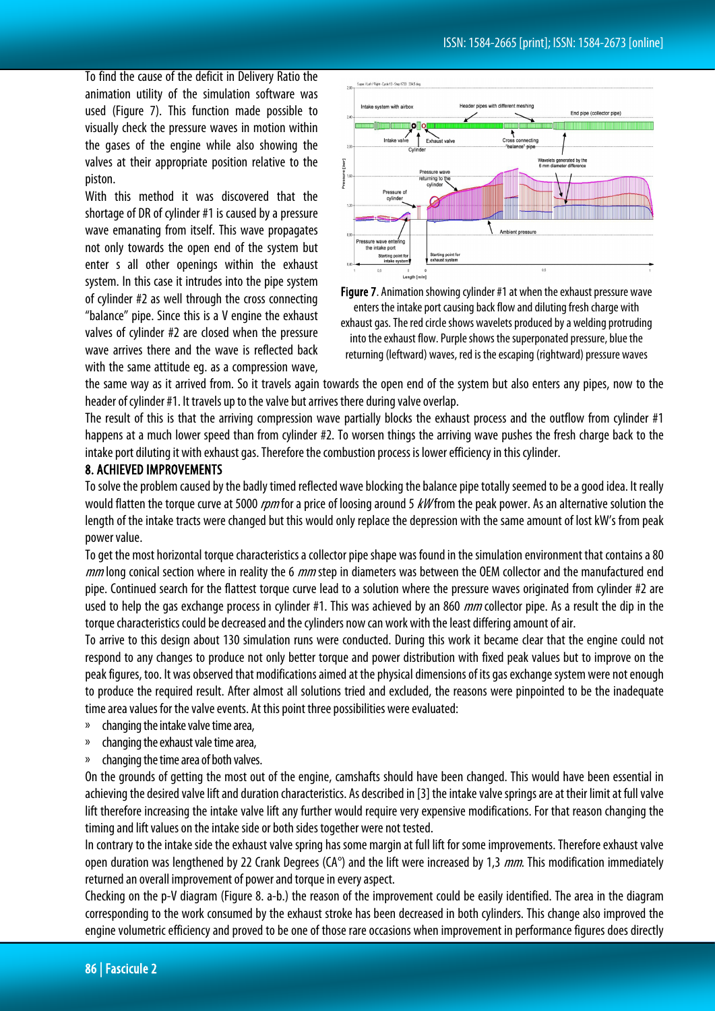To find the cause of the deficit in Delivery Ratio the animation utility of the simulation software was used (Figure 7). This function made possible to visually check the pressure waves in motion within the gases of the engine while also showing the valves at their appropriate position relative to the piston.

With this method it was discovered that the shortage of DR of cylinder #1 is caused by a pressure wave emanating from itself. This wave propagates not only towards the open end of the system but enter s all other openings within the exhaust system. In this case it intrudes into the pipe system of cylinder #2 as well through the cross connecting "balance" pipe. Since this is a V engine the exhaust valves of cylinder #2 are closed when the pressure wave arrives there and the wave is reflected back with the same attitude eg. as a compression wave,



Figure 7. Animation showing cylinder #1 at when the exhaust pressure wave enters the intake port causing back flow and diluting fresh charge with exhaust gas. The red circle shows wavelets produced by a welding protruding into the exhaust flow. Purple shows the superponated pressure, blue the returning (leftward) waves, red is the escaping (rightward) pressure waves

the same way as it arrived from. So it travels again towards the open end of the system but also enters any pipes, now to the header of cylinder #1. It travels up to the valve but arrives there during valve overlap.

The result of this is that the arriving compression wave partially blocks the exhaust process and the outflow from cylinder #1 happens at a much lower speed than from cylinder #2. To worsen things the arriving wave pushes the fresh charge back to the intake port diluting it with exhaust gas. Therefore the combustion process is lower efficiency in this cylinder.

#### 8. ACHIEVED IMPROVEMENTS

To solve the problem caused by the badly timed reflected wave blocking the balance pipe totally seemed to be a good idea. It really would flatten the torque curve at 5000 rpm for a price of loosing around 5 kW from the peak power. As an alternative solution the length of the intake tracts were changed but this would only replace the depression with the same amount of lost kW's from peak power value.

To get the most horizontal torque characteristics a collector pipe shape was found in the simulation environment that contains a 80 mm long conical section where in reality the 6 mm step in diameters was between the OEM collector and the manufactured end pipe. Continued search for the flattest torque curve lead to a solution where the pressure waves originated from cylinder #2 are used to help the gas exchange process in cylinder #1. This was achieved by an 860 *mm* collector pipe. As a result the dip in the torque characteristics could be decreased and the cylinders now can work with the least differing amount of air.

To arrive to this design about 130 simulation runs were conducted. During this work it became clear that the engine could not respond to any changes to produce not only better torque and power distribution with fixed peak values but to improve on the peak figures, too. It was observed that modifications aimed at the physical dimensions of its gas exchange system were not enough to produce the required result. After almost all solutions tried and excluded, the reasons were pinpointed to be the inadequate time area values for the valve events. At this point three possibilities were evaluated:

- changing the intake valve time area,
- » changing the exhaust vale time area,
- changing the time area of both valves.

On the grounds of getting the most out of the engine, camshafts should have been changed. This would have been essential in achieving the desired valve lift and duration characteristics. As described in [3] the intake valve springs are at their limit at full valve lift therefore increasing the intake valve lift any further would require very expensive modifications. For that reason changing the timing and lift values on the intake side or both sides together were not tested.

In contrary to the intake side the exhaust valve spring has some margin at full lift for some improvements. Therefore exhaust valve open duration was lengthened by 22 Crank Degrees (CA<sup>°</sup>) and the lift were increased by 1,3 mm. This modification immediately returned an overall improvement of power and torque in every aspect.

Checking on the p-V diagram (Figure 8. a-b.) the reason of the improvement could be easily identified. The area in the diagram corresponding to the work consumed by the exhaust stroke has been decreased in both cylinders. This change also improved the engine volumetric efficiency and proved to be one of those rare occasions when improvement in performance figures does directly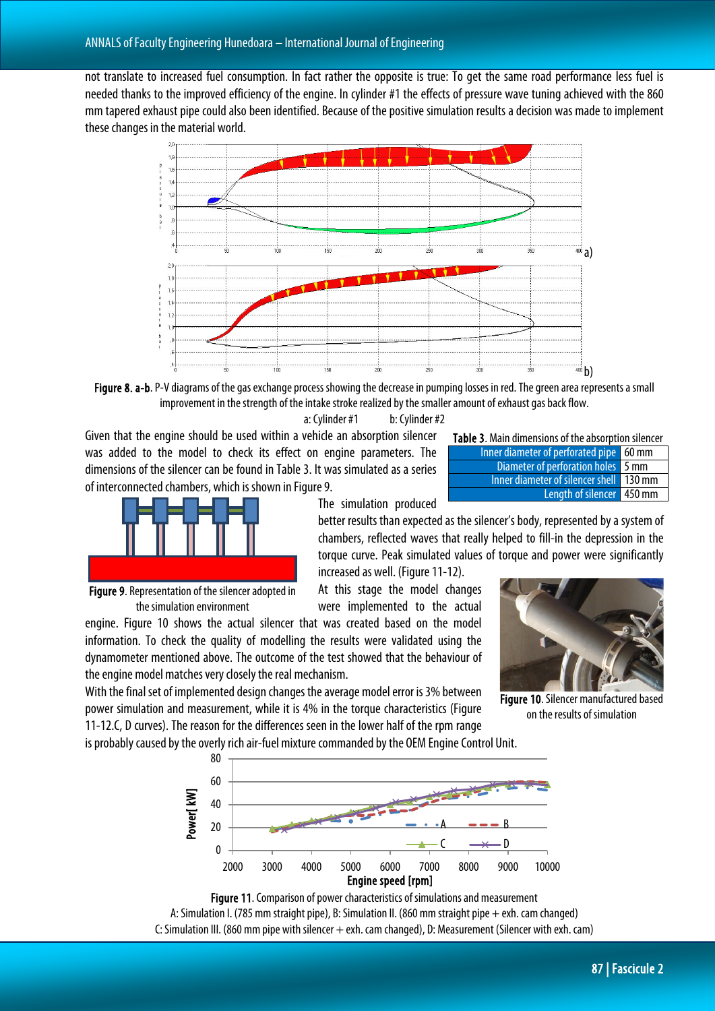not translate to increased fuel consumption. In fact rather the opposite is true: To get the same road performance less fuel is needed thanks to the improved efficiency of the engine. In cylinder #1 the effects of pressure wave tuning achieved with the 860 mm tapered exhaust pipe could also been identified. Because of the positive simulation results a decision was made to implement these changes in the material world.



Fiqure 8. a-b. P-V diagrams of the gas exchange process showing the decrease in pumping losses in red. The green area represents a small improvement in the strength of the intake stroke realized by the smaller amount of exhaust gas back flow.

a: Cylinder #1 b: Cylinder #2

Given that the engine should be used within a vehicle an absorption silencer was added to the model to check its effect on engine parameters. The dimensions of the silencer can be found in Table 3. It was simulated as a series of interconnected chambers, which is shown in Figure 9.



The simulation produced

better results than expected as the silencer's body, represented by a system of

chambers, reflected waves that really helped to fill-in the depression in the torque curve. Peak simulated values of torque and power were significantly increased as well. (Figure 11-12).

At this stage the model changes were implemented to the actual

Figure 9. Representation of the silencer adopted in the simulation environment

engine. Figure 10 shows the actual silencer that was created based on the model information. To check the quality of modelling the results were validated using the dynamometer mentioned above. The outcome of the test showed that the behaviour of the engine model matches very closely the real mechanism.

With the final set of implemented design changes the average model error is 3% between power simulation and measurement, while it is 4% in the torque characteristics (Figure 11-12.C, D curves). The reason for the differences seen in the lower half of the rpm range

is probably caused by the overly rich air-fuel mixture commanded by the OEM Engine Control Unit.



Figure 11. Comparison of power characteristics of simulations and measurement A: Simulation I. (785 mm straight pipe), B: Simulation II. (860 mm straight pipe + exh. cam changed) C: Simulation III. (860 mm pipe with silencer + exh. cam changed), D: Measurement (Silencer with exh. cam)

| Diameter of perforation holes 5 mm      |  |
|-----------------------------------------|--|
| Inner diameter of silencer shell 130 mm |  |
| Length of silencer 450 mm               |  |
|                                         |  |

Table 3. Main dimensions of the absorption silencer Inner diameter of perforated pipe 60 mm



Figure 10. Silencer manufactured based on the results of simulation